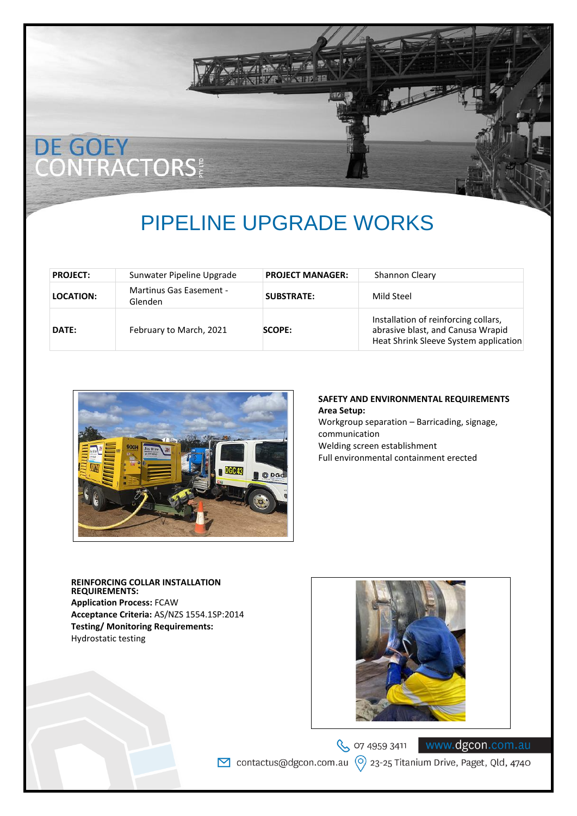# DE GOEY<br>CONTRACTORS

## PIPELINE UPGRADE WORKS

| <b>PROJECT:</b>  | Sunwater Pipeline Upgrade          | <b>PROJECT MANAGER:</b> | Shannon Cleary                                                                                                     |
|------------------|------------------------------------|-------------------------|--------------------------------------------------------------------------------------------------------------------|
| <b>LOCATION:</b> | Martinus Gas Easement -<br>Glenden | <b>SUBSTRATE:</b>       | Mild Steel                                                                                                         |
| DATE:            | February to March, 2021            | SCOPE:                  | Installation of reinforcing collars,<br>abrasive blast, and Canusa Wrapid<br>Heat Shrink Sleeve System application |



#### **SAFETY AND ENVIRONMENTAL REQUIREMENTS Area Setup:**

Workgroup separation – Barricading, signage, communication Welding screen establishment Full environmental containment erected

**REINFORCING COLLAR INSTALLATION REQUIREMENTS: Application Process:** FCAW **Acceptance Criteria:** AS/NZS 1554.1SP:2014 **Testing/ Monitoring Requirements:** Hydrostatic testing



S 07 4959 3411 ○ contactus@dgcon.com.au  $\circ$  23-25 Titanium Drive, Paget, Qld, 4740

www.dgcon.com.au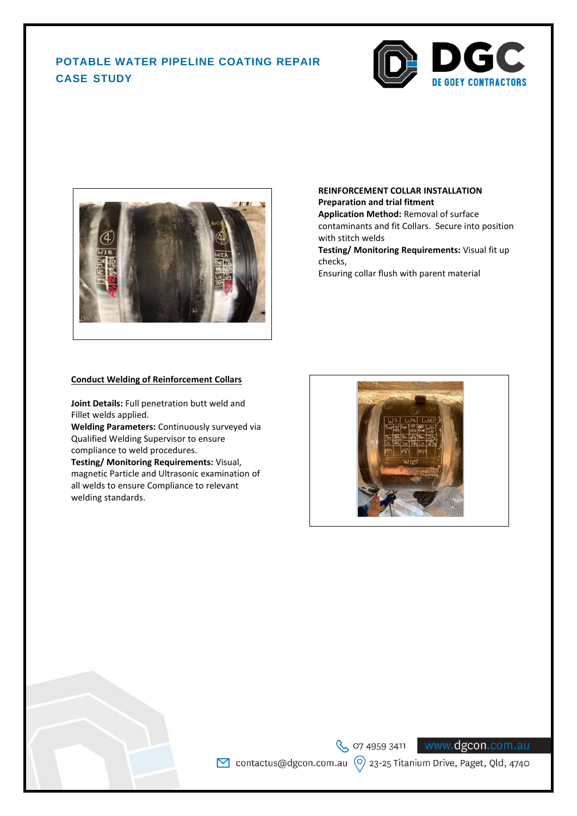### **POTABLE WATER PIPELINE COATING REPAIR CASE STUDY**





#### **REINFORCEMENT COLLAR INSTALLATION Preparation and trial fitment**

**Application Method:** Removal of surface contaminants and fit Collars. Secure into position with stitch welds

**Testing/ Monitoring Requirements:** Visual fit up checks,

Ensuring collar flush with parent material

#### **Conduct Welding of Reinforcement Collars**

**Joint Details:** Full penetration butt weld and Fillet welds applied.

**Welding Parameters:** Continuously surveyed via Qualified Welding Supervisor to ensure compliance to weld procedures.

**Testing/ Monitoring Requirements:** Visual, magnetic Particle and Ultrasonic examination of all welds to ensure Compliance to relevant welding standards.

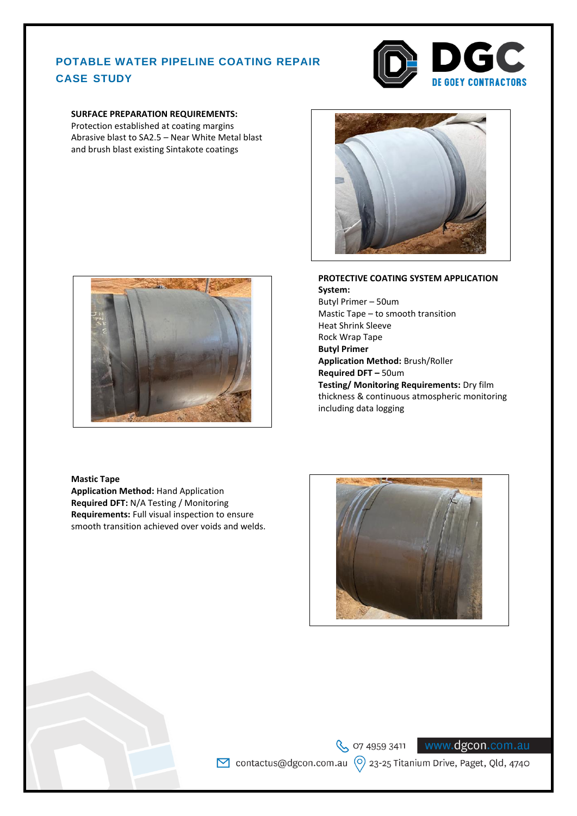#### **POTABLE WATER PIPELINE COATING REPAIR CASE STUDY**



#### **SURFACE PREPARATION REQUIREMENTS:**

Protection established at coating margins Abrasive blast to SA2.5 – Near White Metal blast and brush blast existing Sintakote coatings





#### **PROTECTIVE COATING SYSTEM APPLICATION System:** Butyl Primer – 50um Mastic Tape – to smooth transition Heat Shrink Sleeve

Rock Wrap Tape **Butyl Primer Application Method:** Brush/Roller **Required DFT –** 50um **Testing/ Monitoring Requirements:** Dry film thickness & continuous atmospheric monitoring including data logging

#### **Mastic Tape**

**Application Method:** Hand Application **Required DFT:** N/A Testing / Monitoring **Requirements:** Full visual inspection to ensure smooth transition achieved over voids and welds.